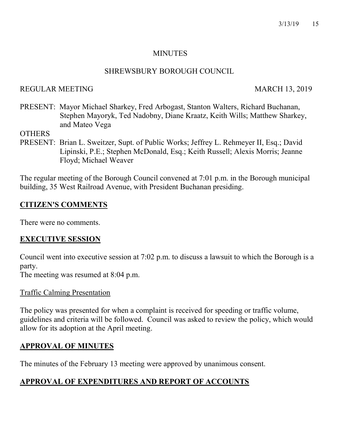#### MINUTES

#### SHREWSBURY BOROUGH COUNCIL

### REGULAR MEETING MARCH 13, 2019

PRESENT: Mayor Michael Sharkey, Fred Arbogast, Stanton Walters, Richard Buchanan, Stephen Mayoryk, Ted Nadobny, Diane Kraatz, Keith Wills; Matthew Sharkey, and Mateo Vega

**OTHERS** 

PRESENT: Brian L. Sweitzer, Supt. of Public Works; Jeffrey L. Rehmeyer II, Esq.; David Lipinski, P.E.; Stephen McDonald, Esq.; Keith Russell; Alexis Morris; Jeanne Floyd; Michael Weaver

The regular meeting of the Borough Council convened at 7:01 p.m. in the Borough municipal building, 35 West Railroad Avenue, with President Buchanan presiding.

### CITIZEN'S COMMENTS

There were no comments.

### EXECUTIVE SESSION

Council went into executive session at 7:02 p.m. to discuss a lawsuit to which the Borough is a party.

The meeting was resumed at 8:04 p.m.

#### Traffic Calming Presentation

The policy was presented for when a complaint is received for speeding or traffic volume, guidelines and criteria will be followed. Council was asked to review the policy, which would allow for its adoption at the April meeting.

# APPROVAL OF MINUTES

The minutes of the February 13 meeting were approved by unanimous consent.

# APPROVAL OF EXPENDITURES AND REPORT OF ACCOUNTS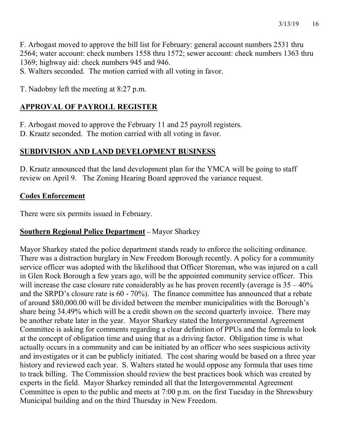F. Arbogast moved to approve the bill list for February: general account numbers 2531 thru 2564; water account: check numbers 1558 thru 1572; sewer account: check numbers 1363 thru 1369; highway aid: check numbers 945 and 946.

S. Walters seconded. The motion carried with all voting in favor.

T. Nadobny left the meeting at 8:27 p.m.

# APPROVAL OF PAYROLL REGISTER

F. Arbogast moved to approve the February 11 and 25 payroll registers.

D. Kraatz seconded. The motion carried with all voting in favor.

## SUBDIVISION AND LAND DEVELOPMENT BUSINESS

D. Kraatz announced that the land development plan for the YMCA will be going to staff review on April 9. The Zoning Hearing Board approved the variance request.

### Codes Enforcement

There were six permits issued in February.

### Southern Regional Police Department – Mayor Sharkey

Mayor Sharkey stated the police department stands ready to enforce the soliciting ordinance. There was a distraction burglary in New Freedom Borough recently. A policy for a community service officer was adopted with the likelihood that Officer Storeman, who was injured on a call in Glen Rock Borough a few years ago, will be the appointed community service officer. This will increase the case closure rate considerably as he has proven recently (average is  $35 - 40\%$ ) and the SRPD's closure rate is 60 - 70%). The finance committee has announced that a rebate of around \$80,000.00 will be divided between the member municipalities with the Borough's share being 34.49% which will be a credit shown on the second quarterly invoice. There may be another rebate later in the year. Mayor Sharkey stated the Intergovernmental Agreement Committee is asking for comments regarding a clear definition of PPUs and the formula to look at the concept of obligation time and using that as a driving factor. Obligation time is what actually occurs in a community and can be initiated by an officer who sees suspicious activity and investigates or it can be publicly initiated. The cost sharing would be based on a three year history and reviewed each year. S. Walters stated he would oppose any formula that uses time to track billing. The Commission should review the best practices book which was created by experts in the field. Mayor Sharkey reminded all that the Intergovernmental Agreement Committee is open to the public and meets at 7:00 p.m. on the first Tuesday in the Shrewsbury Municipal building and on the third Thursday in New Freedom.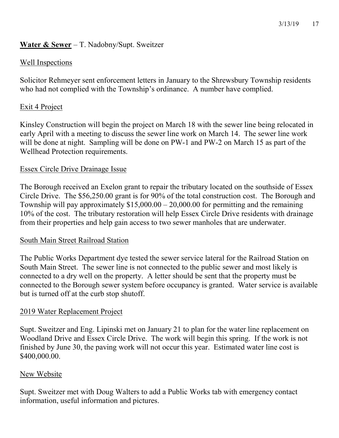### Water & Sewer – T. Nadobny/Supt. Sweitzer

### Well Inspections

Solicitor Rehmeyer sent enforcement letters in January to the Shrewsbury Township residents who had not complied with the Township's ordinance. A number have complied.

#### Exit 4 Project

Kinsley Construction will begin the project on March 18 with the sewer line being relocated in early April with a meeting to discuss the sewer line work on March 14. The sewer line work will be done at night. Sampling will be done on PW-1 and PW-2 on March 15 as part of the Wellhead Protection requirements.

#### Essex Circle Drive Drainage Issue

The Borough received an Exelon grant to repair the tributary located on the southside of Essex Circle Drive. The \$56,250.00 grant is for 90% of the total construction cost. The Borough and Township will pay approximately  $$15,000.00 - 20,000.00$  for permitting and the remaining 10% of the cost. The tributary restoration will help Essex Circle Drive residents with drainage from their properties and help gain access to two sewer manholes that are underwater.

#### South Main Street Railroad Station

The Public Works Department dye tested the sewer service lateral for the Railroad Station on South Main Street. The sewer line is not connected to the public sewer and most likely is connected to a dry well on the property. A letter should be sent that the property must be connected to the Borough sewer system before occupancy is granted. Water service is available but is turned off at the curb stop shutoff.

#### 2019 Water Replacement Project

Supt. Sweitzer and Eng. Lipinski met on January 21 to plan for the water line replacement on Woodland Drive and Essex Circle Drive. The work will begin this spring. If the work is not finished by June 30, the paving work will not occur this year. Estimated water line cost is \$400,000.00.

#### New Website

Supt. Sweitzer met with Doug Walters to add a Public Works tab with emergency contact information, useful information and pictures.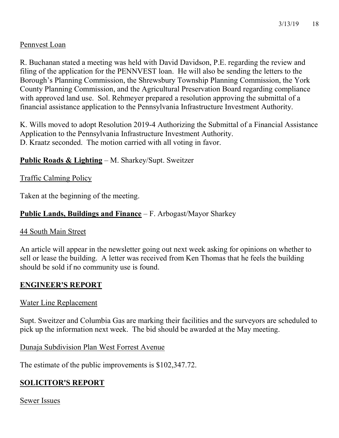### Pennvest Loan

R. Buchanan stated a meeting was held with David Davidson, P.E. regarding the review and filing of the application for the PENNVEST loan. He will also be sending the letters to the Borough's Planning Commission, the Shrewsbury Township Planning Commission, the York County Planning Commission, and the Agricultural Preservation Board regarding compliance with approved land use. Sol. Rehmeyer prepared a resolution approving the submittal of a financial assistance application to the Pennsylvania Infrastructure Investment Authority.

K. Wills moved to adopt Resolution 2019-4 Authorizing the Submittal of a Financial Assistance Application to the Pennsylvania Infrastructure Investment Authority. D. Kraatz seconded. The motion carried with all voting in favor.

### Public Roads & Lighting – M. Sharkey/Supt. Sweitzer

#### Traffic Calming Policy

Taken at the beginning of the meeting.

### Public Lands, Buildings and Finance – F. Arbogast/Mayor Sharkey

#### 44 South Main Street

An article will appear in the newsletter going out next week asking for opinions on whether to sell or lease the building. A letter was received from Ken Thomas that he feels the building should be sold if no community use is found.

#### ENGINEER'S REPORT

#### Water Line Replacement

Supt. Sweitzer and Columbia Gas are marking their facilities and the surveyors are scheduled to pick up the information next week. The bid should be awarded at the May meeting.

Dunaja Subdivision Plan West Forrest Avenue

The estimate of the public improvements is \$102,347.72.

# SOLICITOR'S REPORT

Sewer Issues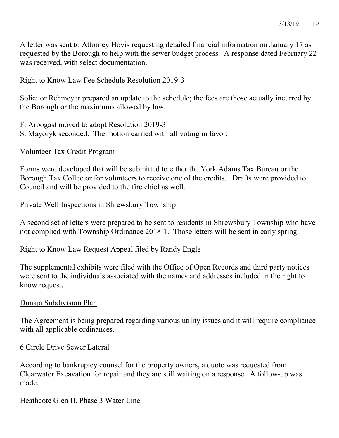A letter was sent to Attorney Hovis requesting detailed financial information on January 17 as requested by the Borough to help with the sewer budget process. A response dated February 22 was received, with select documentation.

### Right to Know Law Fee Schedule Resolution 2019-3

Solicitor Rehmeyer prepared an update to the schedule; the fees are those actually incurred by the Borough or the maximums allowed by law.

F. Arbogast moved to adopt Resolution 2019-3. S. Mayoryk seconded. The motion carried with all voting in favor.

#### Volunteer Tax Credit Program

Forms were developed that will be submitted to either the York Adams Tax Bureau or the Borough Tax Collector for volunteers to receive one of the credits. Drafts were provided to Council and will be provided to the fire chief as well.

#### Private Well Inspections in Shrewsbury Township

A second set of letters were prepared to be sent to residents in Shrewsbury Township who have not complied with Township Ordinance 2018-1. Those letters will be sent in early spring.

#### Right to Know Law Request Appeal filed by Randy Engle

The supplemental exhibits were filed with the Office of Open Records and third party notices were sent to the individuals associated with the names and addresses included in the right to know request.

#### Dunaja Subdivision Plan

The Agreement is being prepared regarding various utility issues and it will require compliance with all applicable ordinances.

#### 6 Circle Drive Sewer Lateral

According to bankruptcy counsel for the property owners, a quote was requested from Clearwater Excavation for repair and they are still waiting on a response. A follow-up was made.

#### Heathcote Glen II, Phase 3 Water Line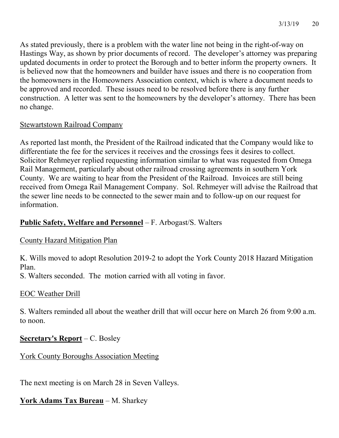As stated previously, there is a problem with the water line not being in the right-of-way on Hastings Way, as shown by prior documents of record. The developer's attorney was preparing updated documents in order to protect the Borough and to better inform the property owners. It is believed now that the homeowners and builder have issues and there is no cooperation from the homeowners in the Homeowners Association context, which is where a document needs to be approved and recorded. These issues need to be resolved before there is any further construction. A letter was sent to the homeowners by the developer's attorney. There has been no change.

### Stewartstown Railroad Company

As reported last month, the President of the Railroad indicated that the Company would like to differentiate the fee for the services it receives and the crossings fees it desires to collect. Solicitor Rehmeyer replied requesting information similar to what was requested from Omega Rail Management, particularly about other railroad crossing agreements in southern York County. We are waiting to hear from the President of the Railroad. Invoices are still being received from Omega Rail Management Company. Sol. Rehmeyer will advise the Railroad that the sewer line needs to be connected to the sewer main and to follow-up on our request for information.

### Public Safety, Welfare and Personnel - F. Arbogast/S. Walters

### County Hazard Mitigation Plan

K. Wills moved to adopt Resolution 2019-2 to adopt the York County 2018 Hazard Mitigation Plan.

S. Walters seconded. The motion carried with all voting in favor.

#### EOC Weather Drill

S. Walters reminded all about the weather drill that will occur here on March 26 from 9:00 a.m. to noon.

### Secretary's Report – C. Bosley

York County Boroughs Association Meeting

The next meeting is on March 28 in Seven Valleys.

# York Adams Tax Bureau - M. Sharkey